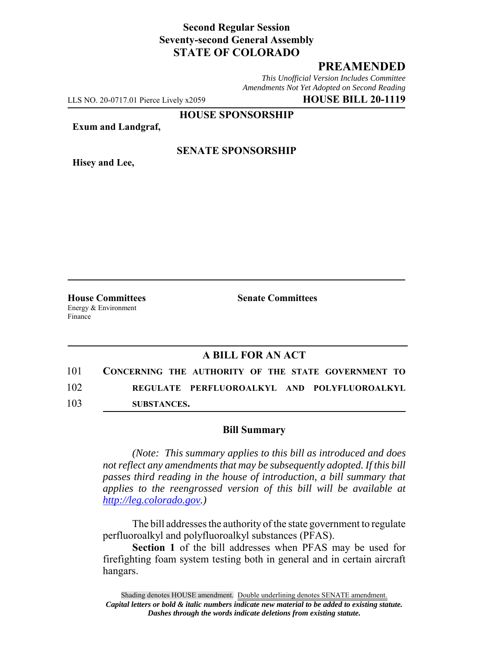## **Second Regular Session Seventy-second General Assembly STATE OF COLORADO**

# **PREAMENDED**

*This Unofficial Version Includes Committee Amendments Not Yet Adopted on Second Reading*

LLS NO. 20-0717.01 Pierce Lively x2059 **HOUSE BILL 20-1119**

**HOUSE SPONSORSHIP**

**Exum and Landgraf,**

**Hisey and Lee,**

### **SENATE SPONSORSHIP**

**House Committees Senate Committees** Energy & Environment Finance

### **A BILL FOR AN ACT**

101 **CONCERNING THE AUTHORITY OF THE STATE GOVERNMENT TO** 102 **REGULATE PERFLUOROALKYL AND POLYFLUOROALKYL** 103 **SUBSTANCES.**

#### **Bill Summary**

*(Note: This summary applies to this bill as introduced and does not reflect any amendments that may be subsequently adopted. If this bill passes third reading in the house of introduction, a bill summary that applies to the reengrossed version of this bill will be available at http://leg.colorado.gov.)*

The bill addresses the authority of the state government to regulate perfluoroalkyl and polyfluoroalkyl substances (PFAS).

**Section 1** of the bill addresses when PFAS may be used for firefighting foam system testing both in general and in certain aircraft hangars.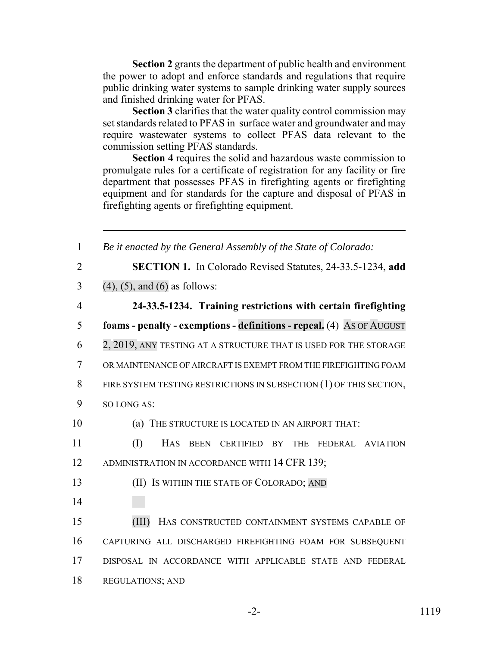**Section 2** grants the department of public health and environment the power to adopt and enforce standards and regulations that require public drinking water systems to sample drinking water supply sources and finished drinking water for PFAS.

**Section 3** clarifies that the water quality control commission may set standards related to PFAS in surface water and groundwater and may require wastewater systems to collect PFAS data relevant to the commission setting PFAS standards.

**Section 4** requires the solid and hazardous waste commission to promulgate rules for a certificate of registration for any facility or fire department that possesses PFAS in firefighting agents or firefighting equipment and for standards for the capture and disposal of PFAS in firefighting agents or firefighting equipment.

 *Be it enacted by the General Assembly of the State of Colorado:* **SECTION 1.** In Colorado Revised Statutes, 24-33.5-1234, **add** 3 (4), (5), and (6) as follows: **24-33.5-1234. Training restrictions with certain firefighting foams - penalty - exemptions - definitions - repeal.** (4) AS OF AUGUST 2, 2019, ANY TESTING AT A STRUCTURE THAT IS USED FOR THE STORAGE OR MAINTENANCE OF AIRCRAFT IS EXEMPT FROM THE FIREFIGHTING FOAM 8 FIRE SYSTEM TESTING RESTRICTIONS IN SUBSECTION (1) OF THIS SECTION, SO LONG AS: (a) THE STRUCTURE IS LOCATED IN AN AIRPORT THAT: (I) HAS BEEN CERTIFIED BY THE FEDERAL AVIATION 12 ADMINISTRATION IN ACCORDANCE WITH 14 CFR 139; (II) IS WITHIN THE STATE OF COLORADO; AND 14 (III) HAS CONSTRUCTED CONTAINMENT SYSTEMS CAPABLE OF CAPTURING ALL DISCHARGED FIREFIGHTING FOAM FOR SUBSEQUENT DISPOSAL IN ACCORDANCE WITH APPLICABLE STATE AND FEDERAL REGULATIONS; AND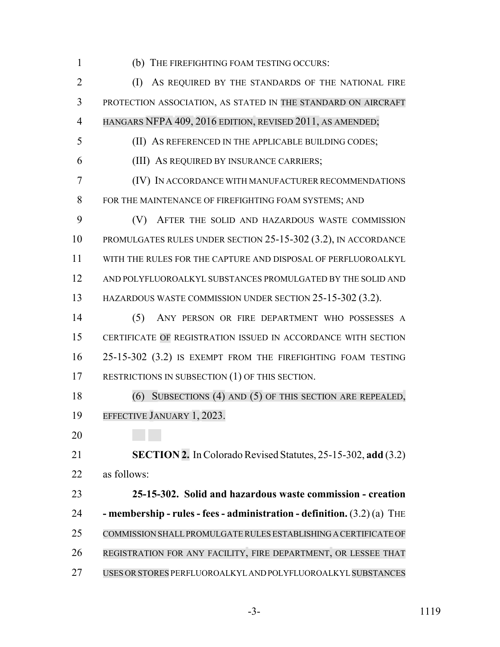(b) THE FIREFIGHTING FOAM TESTING OCCURS:

 (I) AS REQUIRED BY THE STANDARDS OF THE NATIONAL FIRE PROTECTION ASSOCIATION, AS STATED IN THE STANDARD ON AIRCRAFT HANGARS NFPA 409, 2016 EDITION, REVISED 2011, AS AMENDED;

(II) AS REFERENCED IN THE APPLICABLE BUILDING CODES;

(III) AS REQUIRED BY INSURANCE CARRIERS;

 (IV) IN ACCORDANCE WITH MANUFACTURER RECOMMENDATIONS FOR THE MAINTENANCE OF FIREFIGHTING FOAM SYSTEMS; AND

 (V) AFTER THE SOLID AND HAZARDOUS WASTE COMMISSION PROMULGATES RULES UNDER SECTION 25-15-302 (3.2), IN ACCORDANCE WITH THE RULES FOR THE CAPTURE AND DISPOSAL OF PERFLUOROALKYL AND POLYFLUOROALKYL SUBSTANCES PROMULGATED BY THE SOLID AND HAZARDOUS WASTE COMMISSION UNDER SECTION 25-15-302 (3.2).

 (5) ANY PERSON OR FIRE DEPARTMENT WHO POSSESSES A CERTIFICATE OF REGISTRATION ISSUED IN ACCORDANCE WITH SECTION 25-15-302 (3.2) IS EXEMPT FROM THE FIREFIGHTING FOAM TESTING 17 RESTRICTIONS IN SUBSECTION (1) OF THIS SECTION.

 (6) SUBSECTIONS (4) AND (5) OF THIS SECTION ARE REPEALED, EFFECTIVE JANUARY 1, 2023.

 **SECTION 2.** In Colorado Revised Statutes, 25-15-302, **add** (3.2) as follows:

 **25-15-302. Solid and hazardous waste commission - creation - membership - rules - fees - administration - definition.** (3.2) (a) THE COMMISSION SHALLPROMULGATERULES ESTABLISHING A CERTIFICATE OF REGISTRATION FOR ANY FACILITY, FIRE DEPARTMENT, OR LESSEE THAT USES ORSTORES PERFLUOROALKYL AND POLYFLUOROALKYL SUBSTANCES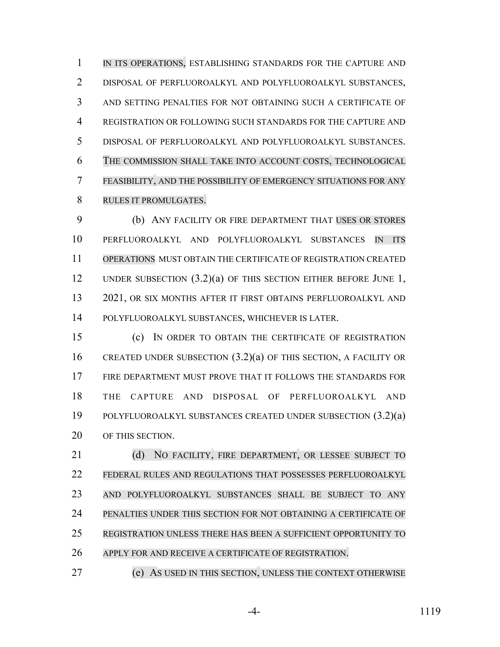1 IN ITS OPERATIONS, ESTABLISHING STANDARDS FOR THE CAPTURE AND DISPOSAL OF PERFLUOROALKYL AND POLYFLUOROALKYL SUBSTANCES, AND SETTING PENALTIES FOR NOT OBTAINING SUCH A CERTIFICATE OF REGISTRATION OR FOLLOWING SUCH STANDARDS FOR THE CAPTURE AND DISPOSAL OF PERFLUOROALKYL AND POLYFLUOROALKYL SUBSTANCES. THE COMMISSION SHALL TAKE INTO ACCOUNT COSTS, TECHNOLOGICAL FEASIBILITY, AND THE POSSIBILITY OF EMERGENCY SITUATIONS FOR ANY RULES IT PROMULGATES.

 (b) ANY FACILITY OR FIRE DEPARTMENT THAT USES OR STORES PERFLUOROALKYL AND POLYFLUOROALKYL SUBSTANCES IN ITS OPERATIONS MUST OBTAIN THE CERTIFICATE OF REGISTRATION CREATED 12 UNDER SUBSECTION (3.2)(a) OF THIS SECTION EITHER BEFORE JUNE 1, 2021, OR SIX MONTHS AFTER IT FIRST OBTAINS PERFLUOROALKYL AND POLYFLUOROALKYL SUBSTANCES, WHICHEVER IS LATER.

 (c) IN ORDER TO OBTAIN THE CERTIFICATE OF REGISTRATION CREATED UNDER SUBSECTION (3.2)(a) OF THIS SECTION, A FACILITY OR FIRE DEPARTMENT MUST PROVE THAT IT FOLLOWS THE STANDARDS FOR THE CAPTURE AND DISPOSAL OF PERFLUOROALKYL AND POLYFLUOROALKYL SUBSTANCES CREATED UNDER SUBSECTION (3.2)(a) OF THIS SECTION.

21 (d) NO FACILITY, FIRE DEPARTMENT, OR LESSEE SUBJECT TO FEDERAL RULES AND REGULATIONS THAT POSSESSES PERFLUOROALKYL AND POLYFLUOROALKYL SUBSTANCES SHALL BE SUBJECT TO ANY PENALTIES UNDER THIS SECTION FOR NOT OBTAINING A CERTIFICATE OF REGISTRATION UNLESS THERE HAS BEEN A SUFFICIENT OPPORTUNITY TO APPLY FOR AND RECEIVE A CERTIFICATE OF REGISTRATION.

(e) AS USED IN THIS SECTION, UNLESS THE CONTEXT OTHERWISE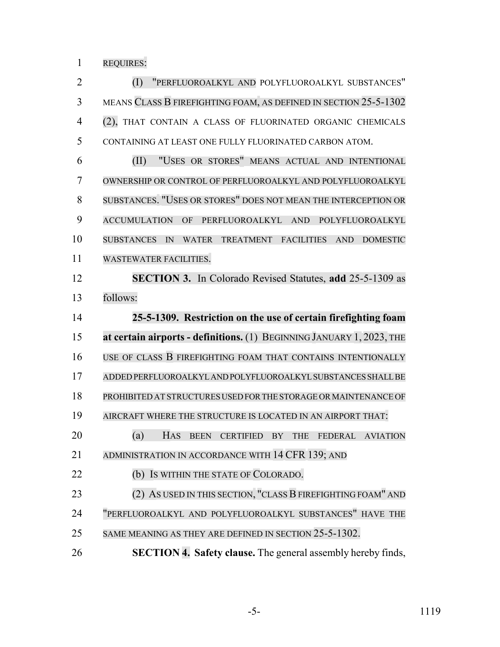REQUIRES:

 (I) "PERFLUOROALKYL AND POLYFLUOROALKYL SUBSTANCES" MEANS CLASS B FIREFIGHTING FOAM, AS DEFINED IN SECTION 25-5-1302 (2), THAT CONTAIN A CLASS OF FLUORINATED ORGANIC CHEMICALS CONTAINING AT LEAST ONE FULLY FLUORINATED CARBON ATOM.

 (II) "USES OR STORES" MEANS ACTUAL AND INTENTIONAL OWNERSHIP OR CONTROL OF PERFLUOROALKYL AND POLYFLUOROALKYL SUBSTANCES. "USES OR STORES" DOES NOT MEAN THE INTERCEPTION OR ACCUMULATION OF PERFLUOROALKYL AND POLYFLUOROALKYL SUBSTANCES IN WATER TREATMENT FACILITIES AND DOMESTIC WASTEWATER FACILITIES.

 **SECTION 3.** In Colorado Revised Statutes, **add** 25-5-1309 as follows:

 **25-5-1309. Restriction on the use of certain firefighting foam at certain airports - definitions.** (1) BEGINNING JANUARY 1, 2023, THE USE OF CLASS B FIREFIGHTING FOAM THAT CONTAINS INTENTIONALLY ADDED PERFLUOROALKYL AND POLYFLUOROALKYL SUBSTANCES SHALL BE PROHIBITED AT STRUCTURES USED FOR THE STORAGE OR MAINTENANCE OF AIRCRAFT WHERE THE STRUCTURE IS LOCATED IN AN AIRPORT THAT: (a) HAS BEEN CERTIFIED BY THE FEDERAL AVIATION 21 ADMINISTRATION IN ACCORDANCE WITH 14 CFR 139; AND 22 (b) Is WITHIN THE STATE OF COLORADO. 23 (2) AS USED IN THIS SECTION, "CLASS B FIREFIGHTING FOAM" AND "PERFLUOROALKYL AND POLYFLUOROALKYL SUBSTANCES" HAVE THE SAME MEANING AS THEY ARE DEFINED IN SECTION 25-5-1302.

**SECTION 4. Safety clause.** The general assembly hereby finds,